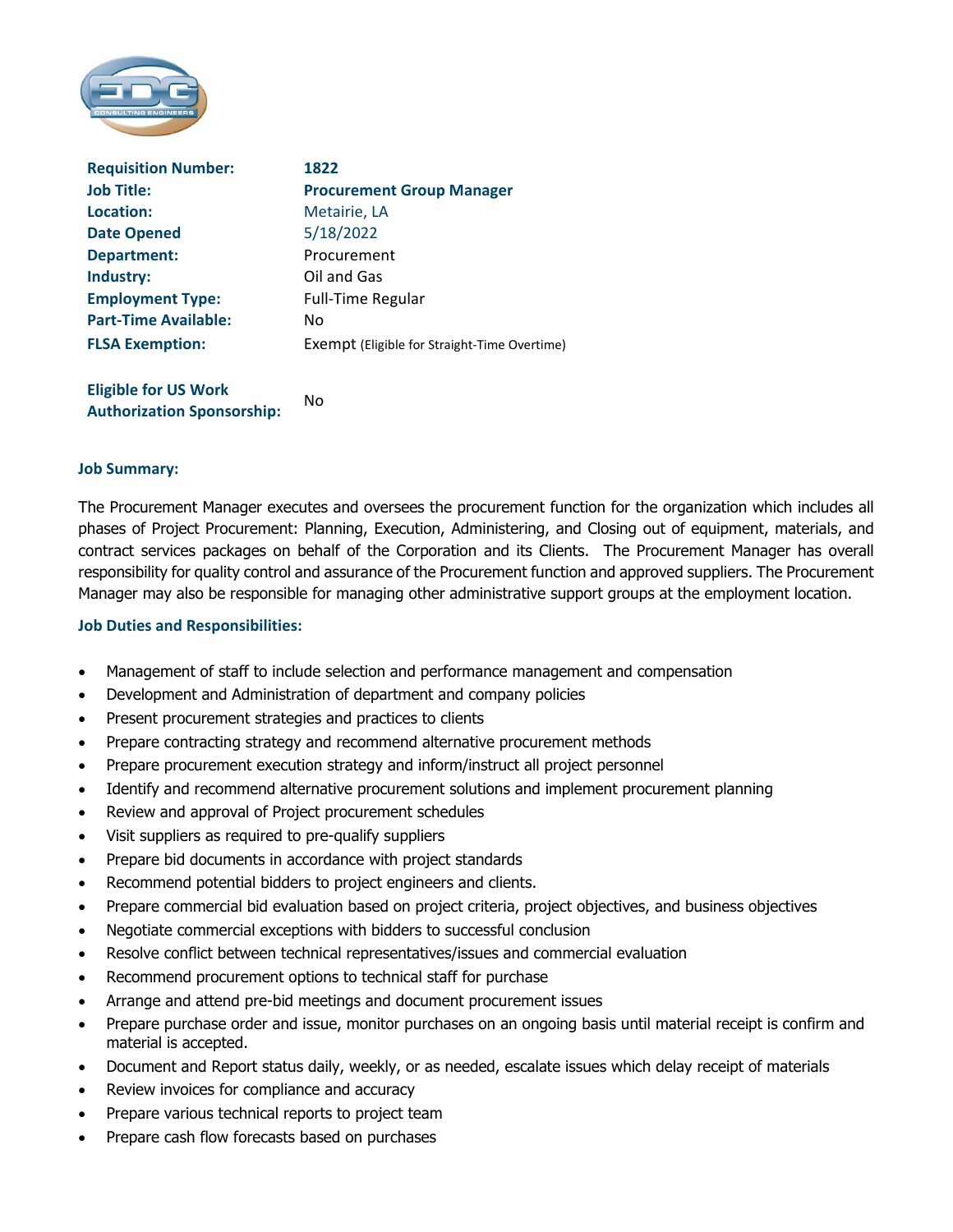

| <b>Requisition Number:</b>  | 1822                                                |
|-----------------------------|-----------------------------------------------------|
| <b>Job Title:</b>           | <b>Procurement Group Manager</b>                    |
| Location:                   | Metairie, LA                                        |
| <b>Date Opened</b>          | 5/18/2022                                           |
| Department:                 | Procurement                                         |
| Industry:                   | Oil and Gas                                         |
| <b>Employment Type:</b>     | <b>Full-Time Regular</b>                            |
| <b>Part-Time Available:</b> | No.                                                 |
| <b>FLSA Exemption:</b>      | <b>Exempt (Eligible for Straight-Time Overtime)</b> |

**Eligible for US Work Authorization Sponsorship:**  No

### **Job Summary:**

The Procurement Manager executes and oversees the procurement function for the organization which includes all phases of Project Procurement: Planning, Execution, Administering, and Closing out of equipment, materials, and contract services packages on behalf of the Corporation and its Clients. The Procurement Manager has overall responsibility for quality control and assurance of the Procurement function and approved suppliers. The Procurement Manager may also be responsible for managing other administrative support groups at the employment location.

### **Job Duties and Responsibilities:**

- Management of staff to include selection and performance management and compensation
- Development and Administration of department and company policies
- Present procurement strategies and practices to clients
- Prepare contracting strategy and recommend alternative procurement methods
- Prepare procurement execution strategy and inform/instruct all project personnel
- Identify and recommend alternative procurement solutions and implement procurement planning
- Review and approval of Project procurement schedules
- Visit suppliers as required to pre-qualify suppliers
- Prepare bid documents in accordance with project standards
- Recommend potential bidders to project engineers and clients.
- Prepare commercial bid evaluation based on project criteria, project objectives, and business objectives
- Negotiate commercial exceptions with bidders to successful conclusion
- Resolve conflict between technical representatives/issues and commercial evaluation
- Recommend procurement options to technical staff for purchase
- Arrange and attend pre-bid meetings and document procurement issues
- Prepare purchase order and issue, monitor purchases on an ongoing basis until material receipt is confirm and material is accepted.
- Document and Report status daily, weekly, or as needed, escalate issues which delay receipt of materials
- Review invoices for compliance and accuracy
- Prepare various technical reports to project team
- Prepare cash flow forecasts based on purchases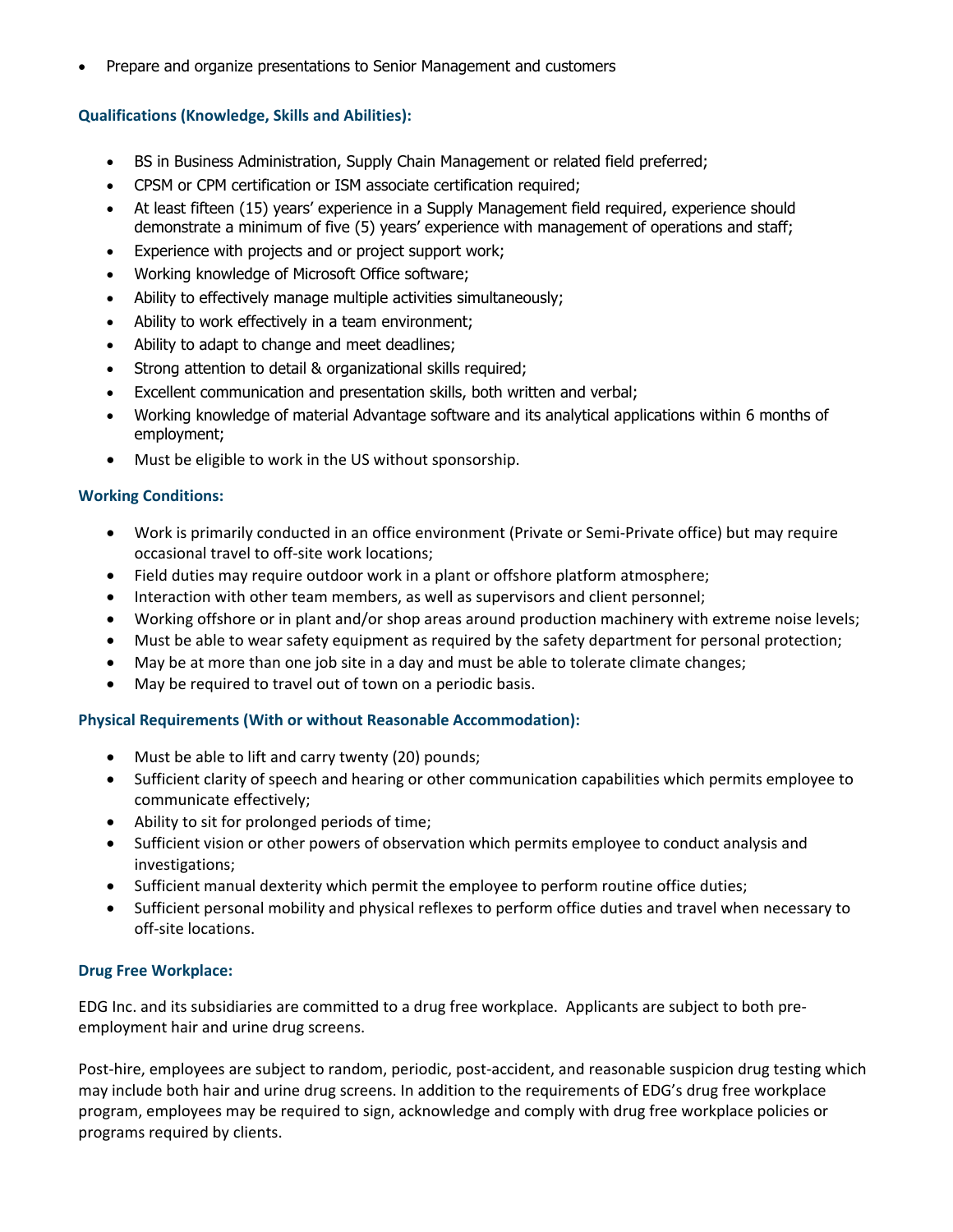Prepare and organize presentations to Senior Management and customers

# **Qualifications (Knowledge, Skills and Abilities):**

- BS in Business Administration, Supply Chain Management or related field preferred;
- CPSM or CPM certification or ISM associate certification required;
- At least fifteen (15) years' experience in a Supply Management field required, experience should demonstrate a minimum of five (5) years' experience with management of operations and staff;
- Experience with projects and or project support work;
- Working knowledge of Microsoft Office software;
- Ability to effectively manage multiple activities simultaneously;
- Ability to work effectively in a team environment;
- Ability to adapt to change and meet deadlines;
- Strong attention to detail & organizational skills required;
- Excellent communication and presentation skills, both written and verbal;
- Working knowledge of material Advantage software and its analytical applications within 6 months of employment;
- Must be eligible to work in the US without sponsorship.

## **Working Conditions:**

- Work is primarily conducted in an office environment (Private or Semi-Private office) but may require occasional travel to off‐site work locations;
- Field duties may require outdoor work in a plant or offshore platform atmosphere;
- Interaction with other team members, as well as supervisors and client personnel;
- Working offshore or in plant and/or shop areas around production machinery with extreme noise levels;
- Must be able to wear safety equipment as required by the safety department for personal protection;
- May be at more than one job site in a day and must be able to tolerate climate changes;
- May be required to travel out of town on a periodic basis.

## **Physical Requirements (With or without Reasonable Accommodation):**

- Must be able to lift and carry twenty (20) pounds;
- Sufficient clarity of speech and hearing or other communication capabilities which permits employee to communicate effectively;
- Ability to sit for prolonged periods of time;
- Sufficient vision or other powers of observation which permits employee to conduct analysis and investigations;
- Sufficient manual dexterity which permit the employee to perform routine office duties;
- Sufficient personal mobility and physical reflexes to perform office duties and travel when necessary to off‐site locations.

## **Drug Free Workplace:**

EDG Inc. and its subsidiaries are committed to a drug free workplace. Applicants are subject to both pre‐ employment hair and urine drug screens.

Post-hire, employees are subject to random, periodic, post-accident, and reasonable suspicion drug testing which may include both hair and urine drug screens. In addition to the requirements of EDG's drug free workplace program, employees may be required to sign, acknowledge and comply with drug free workplace policies or programs required by clients.